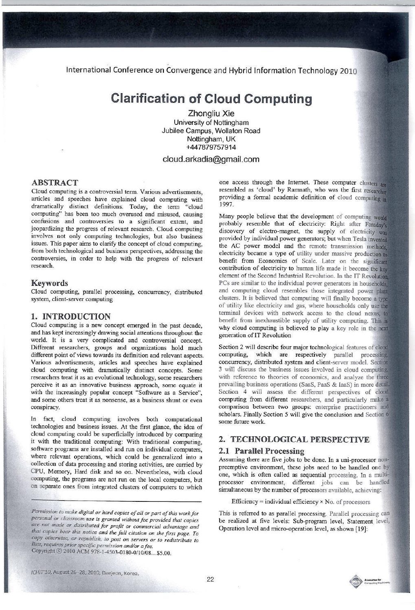International Conference on Convergence and Hybrid Information Technology 2010

# **Clarification of Cloud Computing**

Zhongliu Xie University of Nottingham Jubilee Campus, Wollaton Road Nottingham, UK +447879757914

# cloud.arkadia@gmail.com

## **ABSTRACT**

Cloud computing is a controversial term. Various advertisements, articles and speeches have explained cloud computing with dramatically distinct definitions. Today, the term "cloud computing" has been too much overused and misused, causing confusions and controversies to a significant extent, and jeopardizing the progress of relevant research. Cloud computing involves not only computing technologies, but also business issues. This paper aims to clarify the concept of cloud computing, from both technological and business perspectives, addressing the controversies, in order to help with the progress of relevant research.

#### **Kevwords**

Cloud computing, parallel processing, concurrency, distributed system, client-server computing

## 1. INTRODUCTION

Cloud computing is a new concept emerged in the past decade, and has kept increasingly drawing social attentions throughout the world. It is a very complicated and controversial concept. Different researchers, groups and organizations hold much different point of views towards its definition and relevant aspects. Various advertisements, articles and speeches have explained cloud computing with dramatically distinct concepts. Some researchers treat it as an evolutional technology, some researchers perceive it as an innovative business approach, some equate it with the increasingly popular concept "Software as a Service", and some others treat it as nonsense, as a business shunt or even conspiracy.

In fact, cloud computing involves both computational technologies and business issues. At the first glance, the idea of cloud computing could be superficially introduced by comparing it with the traditional computing: With traditional computing, software programs are installed and run on individual computers, where relevant operations, which could be generalized into a collection of data processing and storing activities, are carried by CPU, Memory, Hard disk and so on. Nevertheless, with cloud computing, the programs are not run on the local computers, but on separate ones from integrated clusters of computers to which

Permission to make digital or hard copies of all or part of this work for personal or classroom use is granted without fee provided that copies are not made or distributed for profit or commercial advantage and that copies bear this notice and the full citation on the first page. To copy otherwise, or republish, to post on servers or to redistribute to lists, requires prior specific permission and/or a fee. Copyright © 2010 ACM 978-1-4503-0180-0/10/08...\$5.00.

one access through the Internet. These computer clusters are resembled as 'cloud' by Ramnath, who was the first researcher providing a formal academic definition of cloud computing in 1997.

Many people believe that the development of computing would probably resemble that of electricity: Right after Faraday's discovery of electro-magnet, the supply of electricity was provided by individual power generators; but when Tesla invented the AC power model and the remote transmission methods. electricity became a type of utility under massive production to benefit from Economies of Scale. Later on the significant contribution of electricity to human life made it become the key element of the Second Industrial Revolution. In the IT Revolution PCs are similar to the individual power generators in households. and computing cloud resembles those integrated power plant clusters. It is believed that computing will finally become a type of utility like electricity and gas, where households only use the terminal devices with network access to the cloud nexus, to benefit from inexhaustible supply of utility computing. This is why cloud computing is believed to play a key role in the next generation of IT Revolution

Section 2 will describe four major technological features of cloud computing, which are respectively parallel processing, concurrency, distributed system and client-server model. Section 3 will discuss the business issues involved in cloud computing, with reference to theories of economics, and analyze the three prevailing business operations (SaaS, PaaS & IaaS) in more detail. Section 4 will assess the different perspectives of cloud computing from different researchers, and particularly make a comparison between two groups: enterprise practitioners and scholars. Finally Section 5 will give the conclusion and Section 6 some future work.

# 2. TECHNOLOGICAL PERSPECTIVE

#### 2.1 Parallel Processing

Assuming there are five jobs to be done. In a uni-processor nonpreemptive environment, these jobs need to be handled one by one, which is often called as sequential processing. In a multiprocessor environment, different jobs can be handled simultaneous by the number of processors available, achieving:

Efficiency = individual efficiency  $\times$  No. of processors

This is referred to as parallel processing. Parallel processing can be realized at five levels: Sub-program level, Statement level, Operation level and micro-operation level, as shown [19]: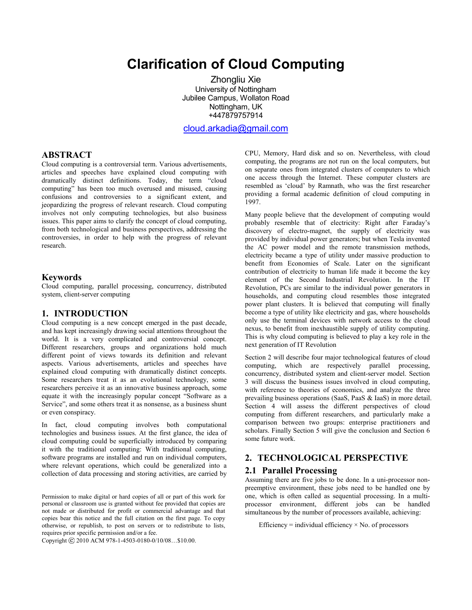# **Clarification of Cloud Computing**

 Zhongliu Xie University of Nottingham Jubilee Campus, Wollaton Road Nottingham, UK +447879757914

[cloud.arkadia@gmail.com](mailto:cloud.arkadia@gmail.com)

## **ABSTRACT**

Cloud computing is a controversial term. Various advertisements, articles and speeches have explained cloud computing with dramatically distinct definitions. Today, the term "cloud computing" has been too much overused and misused, causing confusions and controversies to a significant extent, and jeopardizing the progress of relevant research. Cloud computing involves not only computing technologies, but also business issues. This paper aims to clarify the concept of cloud computing, from both technological and business perspectives, addressing the controversies, in order to help with the progress of relevant research.

#### **Keywords**

Cloud computing, parallel processing, concurrency, distributed system, client-server computing

# **1. INTRODUCTION**

Cloud computing is a new concept emerged in the past decade, and has kept increasingly drawing social attentions throughout the world. It is a very complicated and controversial concept. Different researchers, groups and organizations hold much different point of views towards its definition and relevant aspects. Various advertisements, articles and speeches have explained cloud computing with dramatically distinct concepts. Some researchers treat it as an evolutional technology, some researchers perceive it as an innovative business approach, some equate it with the increasingly popular concept "Software as a Service", and some others treat it as nonsense, as a business shunt or even conspiracy.

In fact, cloud computing involves both computational technologies and business issues. At the first glance, the idea of cloud computing could be superficially introduced by comparing it with the traditional computing: With traditional computing, software programs are installed and run on individual computers, where relevant operations, which could be generalized into a collection of data processing and storing activities, are carried by

Permission to make digital or hard copies of all or part of this work for personal or classroom use is granted without fee provided that copies are not made or distributed for profit or commercial advantage and that copies bear this notice and the full citation on the first page. To copy otherwise, or republish, to post on servers or to redistribute to lists, requires prior specific permission and/or a fee.

Copyright 2010 ACM 978-1-4503-0180-0/10/08…\$10.00.

CPU, Memory, Hard disk and so on. Nevertheless, with cloud computing, the programs are not run on the local computers, but on separate ones from integrated clusters of computers to which one access through the Internet. These computer clusters are resembled as 'cloud' by Ramnath, who was the first researcher providing a formal academic definition of cloud computing in 1997.

Many people believe that the development of computing would probably resemble that of electricity: Right after Faraday's discovery of electro-magnet, the supply of electricity was provided by individual power generators; but when Tesla invented the AC power model and the remote transmission methods, electricity became a type of utility under massive production to benefit from Economies of Scale. Later on the significant contribution of electricity to human life made it become the key element of the Second Industrial Revolution. In the IT Revolution, PCs are similar to the individual power generators in households, and computing cloud resembles those integrated power plant clusters. It is believed that computing will finally become a type of utility like electricity and gas, where households only use the terminal devices with network access to the cloud nexus, to benefit from inexhaustible supply of utility computing. This is why cloud computing is believed to play a key role in the next generation of IT Revolution

Section 2 will describe four major technological features of cloud computing, which are respectively parallel processing, concurrency, distributed system and client-server model. Section 3 will discuss the business issues involved in cloud computing, with reference to theories of economics, and analyze the three prevailing business operations (SaaS, PaaS & IaaS) in more detail. Section 4 will assess the different perspectives of cloud computing from different researchers, and particularly make a comparison between two groups: enterprise practitioners and scholars. Finally Section 5 will give the conclusion and Section 6 some future work.

## **2. TECHNOLOGICAL PERSPECTIVE**

#### **2.1 Parallel Processing**

Assuming there are five jobs to be done. In a uni-processor nonpreemptive environment, these jobs need to be handled one by one, which is often called as sequential processing. In a multiprocessor environment, different jobs can be handled simultaneous by the number of processors available, achieving:

Efficiency = individual efficiency  $\times$  No. of processors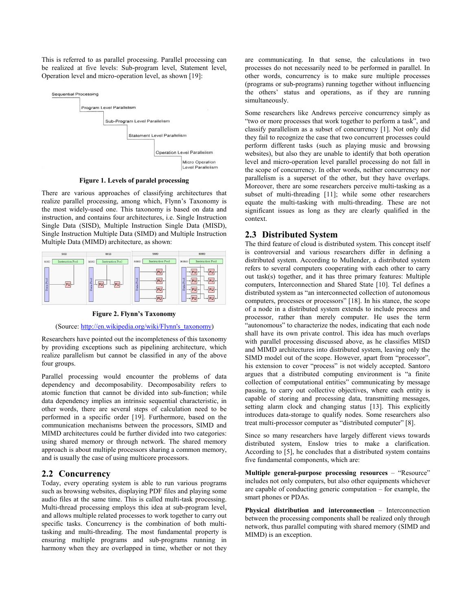This is referred to as parallel processing. Parallel processing can be realized at five levels: Sub-program level, Statement level, Operation level and micro-operation level, as shown [19]:



**Figure 1. Levels of paralel processing** 

There are various approaches of classifying architectures that realize parallel processing, among which, Flynn's Taxonomy is the most widely-used one. This taxonomy is based on data and instruction, and contains four architectures, i.e. Single Instruction Single Data (SISD), Multiple Instruction Single Data (MISD), Single Instruction Multiple Data (SIMD) and Multiple Instruction Multiple Data (MIMD) architecture, as shown:



**Figure 2. Flynn's Taxonomy** 

(Source: [http://en.wikipedia.org/wiki/Flynn's\\_taxonomy](http://en.wikipedia.org/wiki/Flynn))

Researchers have pointed out the incompleteness of this taxonomy by providing exceptions such as pipelining architecture, which realize parallelism but cannot be classified in any of the above four groups.

Parallel processing would encounter the problems of data dependency and decomposability. Decomposability refers to atomic function that cannot be divided into sub-function; while data dependency implies an intrinsic sequential characteristic, in other words, there are several steps of calculation need to be performed in a specific order [19]. Furthermore, based on the communication mechanisms between the processors, SIMD and MIMD architectures could be further divided into two categories: using shared memory or through network. The shared memory approach is about multiple processors sharing a common memory, and is usually the case of using multicore processors.

## **2.2 Concurrency**

Today, every operating system is able to run various programs such as browsing websites, displaying PDF files and playing some audio files at the same time. This is called multi-task processing. Multi-thread processing employs this idea at sub-program level, and allows multiple related processes to work together to carry out specific tasks. Concurrency is the combination of both multitasking and multi-threading. The most fundamental property is ensuring multiple programs and sub-programs running in harmony when they are overlapped in time, whether or not they are communicating. In that sense, the calculations in two processes do not necessarily need to be performed in parallel. In other words, concurrency is to make sure multiple processes (programs or sub-programs) running together without influencing the others' status and operations, as if they are running simultaneously.

Some researchers like Andrews perceive concurrency simply as "two or more processes that work together to perform a task", and classify parallelism as a subset of concurrency [1]. Not only did they fail to recognize the case that two concurrent processes could perform different tasks (such as playing music and browsing websites), but also they are unable to identify that both operation level and micro-operation level parallel processing do not fall in the scope of concurrency. In other words, neither concurrency nor parallelism is a superset of the other, but they have overlaps. Moreover, there are some researchers perceive multi-tasking as a subset of multi-threading [11]; while some other researchers equate the multi-tasking with multi-threading. These are not significant issues as long as they are clearly qualified in the context.

## **2.3 Distributed System**

The third feature of cloud is distributed system. This concept itself is controversial and various researchers differ in defining a distributed system. According to Mullender, a distributed system refers to several computers cooperating with each other to carry out task(s) together, and it has three primary features: Multiple computers, Interconnection and Shared State [10]. Tel defines a distributed system as "an interconnected collection of autonomous computers, processes or processors" [18]. In his stance, the scope of a node in a distributed system extends to include process and processor, rather than merely computer. He uses the term "autonomous" to characterize the nodes, indicating that each node shall have its own private control. This idea has much overlaps with parallel processing discussed above, as he classifies MISD and MIMD architectures into distributed system, leaving only the SIMD model out of the scope. However, apart from "processor", his extension to cover "process" is not widely accepted. Santoro argues that a distributed computing environment is "a finite collection of computational entities" communicating by message passing, to carry out collective objectives, where each entity is capable of storing and processing data, transmitting messages, setting alarm clock and changing status [13]. This explicitly introduces data-storage to qualify nodes. Some researchers also treat multi-processor computer as "distributed computer" [8].

Since so many researchers have largely different views towards distributed system, Enslow tries to make a clarification. According to [5], he concludes that a distributed system contains five fundamental components, which are:

**Multiple general-purpose processing resources** – "Resource" includes not only computers, but also other equipments whichever are capable of conducting generic computation – for example, the smart phones or PDAs.

**Physical distribution and interconnection** – Interconnection between the processing components shall be realized only through network, thus parallel computing with shared memory (SIMD and MIMD) is an exception.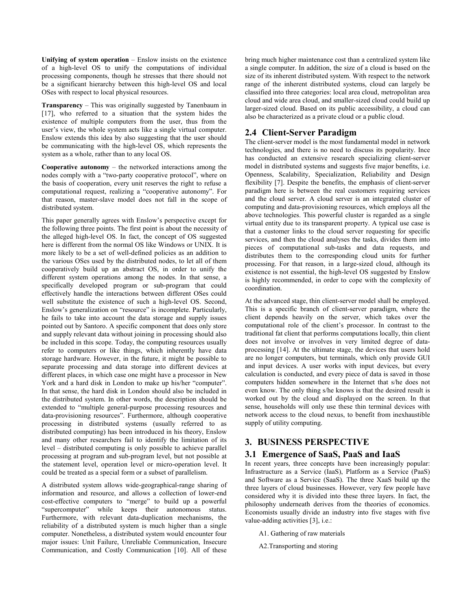**Unifying of system operation** – Enslow insists on the existence of a high-level OS to unify the computations of individual processing components, though he stresses that there should not be a significant hierarchy between this high-level OS and local OSes with respect to local physical resources.

**Transparency** – This was originally suggested by Tanenbaum in [17], who referred to a situation that the system hides the existence of multiple computers from the user, thus from the user's view, the whole system acts like a single virtual computer. Enslow extends this idea by also suggesting that the user should be communicating with the high-level OS, which represents the system as a whole, rather than to any local OS.

**Cooperative autonomy** – the networked interactions among the nodes comply with a "two-party cooperative protocol", where on the basis of cooperation, every unit reserves the right to refuse a computational request, realizing a "cooperative autonomy". For that reason, master-slave model does not fall in the scope of distributed system.

This paper generally agrees with Enslow's perspective except for the following three points. The first point is about the necessity of the alleged high-level OS. In fact, the concept of OS suggested here is different from the normal OS like Windows or UNIX. It is more likely to be a set of well-defined policies as an addition to the various OSes used by the distributed nodes, to let all of them cooperatively build up an abstract OS, in order to unify the different system operations among the nodes. In that sense, a specifically developed program or sub-program that could effectively handle the interactions between different OSes could well substitute the existence of such a high-level OS. Second, Enslow's generalization on "resource" is incomplete. Particularly, he fails to take into account the data storage and supply issues pointed out by Santoro. A specific component that does only store and supply relevant data without joining in processing should also be included in this scope. Today, the computing resources usually refer to computers or like things, which inherently have data storage hardware. However, in the future, it might be possible to separate processing and data storage into different devices at different places, in which case one might have a processor in New York and a hard disk in London to make up his/her "computer". In that sense, the hard disk in London should also be included in the distributed system. In other words, the description should be extended to "multiple general-purpose processing resources and data-provisioning resources". Furthermore, although cooperative processing in distributed systems (usually referred to as distributed computing) has been introduced in his theory, Enslow and many other researchers fail to identify the limitation of its level – distributed computing is only possible to achieve parallel processing at program and sub-program level, but not possible at the statement level, operation level or micro-operation level. It could be treated as a special form or a subset of parallelism.

A distributed system allows wide-geographical-range sharing of information and resource, and allows a collection of lower-end cost-effective computers to "merge" to build up a powerful while keeps their autonomous status. Furthermore, with relevant data-duplication mechanisms, the reliability of a distributed system is much higher than a single computer. Nonetheless, a distributed system would encounter four major issues: Unit Failure, Unreliable Communication, Insecure Communication, and Costly Communication [10]. All of these

bring much higher maintenance cost than a centralized system like a single computer. In addition, the size of a cloud is based on the size of its inherent distributed system. With respect to the network range of the inherent distributed systems, cloud can largely be classified into three categories: local area cloud, metropolitan area cloud and wide area cloud, and smaller-sized cloud could build up larger-sized cloud. Based on its public accessibility, a cloud can also be characterized as a private cloud or a public cloud.

# **2.4 Client-Server Paradigm**

The client-server model is the most fundamental model in network technologies, and there is no need to discuss its popularity. Ince has conducted an extensive research specializing client-server model in distributed systems and suggests five major benefits, i.e. Openness, Scalability, Specialization, Reliability and Design flexibility [7]. Despite the benefits, the emphasis of client-server paradigm here is between the real customers requiring services and the cloud server. A cloud server is an integrated cluster of computing and data-provisioning resources, which employs all the above technologies. This powerful cluster is regarded as a single virtual entity due to its transparent property. A typical use case is that a customer links to the cloud server requesting for specific services, and then the cloud analyses the tasks, divides them into pieces of computational sub-tasks and data requests, and distributes them to the corresponding cloud units for further processing. For that reason, in a large-sized cloud, although its existence is not essential, the high-level OS suggested by Enslow is highly recommended, in order to cope with the complexity of coordination.

At the advanced stage, thin client-server model shall be employed. This is a specific branch of client-server paradigm, where the client depends heavily on the server, which takes over the computational role of the client's processor. In contrast to the traditional fat client that performs computations locally, thin client does not involve or involves in very limited degree of dataprocessing [14]. At the ultimate stage, the devices that users hold are no longer computers, but terminals, which only provide GUI and input devices. A user works with input devices, but every calculation is conducted, and every piece of data is saved in those computers hidden somewhere in the Internet that s/he does not even know. The only thing s/he knows is that the desired result is worked out by the cloud and displayed on the screen. In that sense, households will only use these thin terminal devices with network access to the cloud nexus, to benefit from inexhaustible supply of utility computing.

# **3. BUSINESS PERSPECTIVE**

## **3.1 Emergence of SaaS, PaaS and IaaS**

In recent years, three concepts have been increasingly popular: Infrastructure as a Service (IaaS), Platform as a Service (PaaS) and Software as a Service (SaaS). The three XaaS build up the three layers of cloud businesses. However, very few people have considered why it is divided into these three layers. In fact, the philosophy underneath derives from the theories of economics. Economists usually divide an industry into five stages with five value-adding activities [3], i.e.:

A1. Gathering of raw materials

A2.Transporting and storing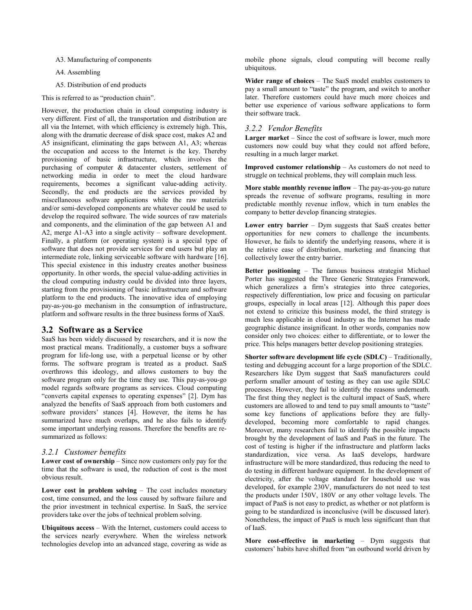A3. Manufacturing of components

A4. Assembling

A5. Distribution of end products

This is referred to as "production chain".

However, the production chain in cloud computing industry is very different. First of all, the transportation and distribution are all via the Internet, with which efficiency is extremely high. This, along with the dramatic decrease of disk space cost, makes A2 and A5 insignificant, eliminating the gaps between A1, A3; whereas the occupation and access to the Internet is the key. Thereby provisioning of basic infrastructure, which involves the purchasing of computer & datacenter clusters, settlement of networking media in order to meet the cloud hardware requirements, becomes a significant value-adding activity. Secondly, the end products are the services provided by miscellaneous software applications while the raw materials and/or semi-developed components are whatever could be used to develop the required software. The wide sources of raw materials and components, and the elimination of the gap between A1 and A2, merge A1-A3 into a single activity – software development. Finally, a platform (or operating system) is a special type of software that does not provide services for end users but play an intermediate role, linking serviceable software with hardware [16]. This special existence in this industry creates another business opportunity. In other words, the special value-adding activities in the cloud computing industry could be divided into three layers, starting from the provisioning of basic infrastructure and software platform to the end products. The innovative idea of employing pay-as-you-go mechanism in the consumption of infrastructure, platform and software results in the three business forms of XaaS.

#### **3.2 Software as a Service**

SaaS has been widely discussed by researchers, and it is now the most practical means. Traditionally, a customer buys a software program for life-long use, with a perpetual license or by other forms. The software program is treated as a product. SaaS overthrows this ideology, and allows customers to buy the software program only for the time they use. This pay-as-you-go model regards software programs as services. Cloud computing "converts capital expenses to operating expenses" [2]. Dym has analyzed the benefits of SaaS approach from both customers and software providers' stances [4]. However, the items he has summarized have much overlaps, and he also fails to identify some important underlying reasons. Therefore the benefits are resummarized as follows:

#### *3.2.1 Customer benefits*

**Lower cost of ownership** – Since now customers only pay for the time that the software is used, the reduction of cost is the most obvious result.

**Lower cost in problem solving** – The cost includes monetary cost, time consumed, and the loss caused by software failure and the prior investment in technical expertise. In SaaS, the service providers take over the jobs of technical problem solving.

**Ubiquitous access** – With the Internet, customers could access to the services nearly everywhere. When the wireless network technologies develop into an advanced stage, covering as wide as mobile phone signals, cloud computing will become really ubiquitous.

**Wider range of choices** – The SaaS model enables customers to pay a small amount to "taste" the program, and switch to another later. Therefore customers could have much more choices and better use experience of various software applications to form their software track.

#### *3.2.2 Vendor Benefits*

**Larger market** – Since the cost of software is lower, much more customers now could buy what they could not afford before, resulting in a much larger market.

**Improved customer relationship** – As customers do not need to struggle on technical problems, they will complain much less.

**More stable monthly revenue inflow** – The pay-as-you-go nature spreads the revenue of software programs, resulting in more predictable monthly revenue inflow, which in turn enables the company to better develop financing strategies.

**Lower entry barrier** – Dym suggests that SaaS creates better opportunities for new comers to challenge the incumbents. However, he fails to identify the underlying reasons, where it is the relative ease of distribution, marketing and financing that collectively lower the entry barrier.

**Better positioning** – The famous business strategist Michael Porter has suggested the Three Generic Strategies Framework, which generalizes a firm's strategies into three categories, respectively differentiation, low price and focusing on particular groups, especially in local areas [12]. Although this paper does not extend to criticize this business model, the third strategy is much less applicable in cloud industry as the Internet has made geographic distance insignificant. In other words, companies now consider only two choices: either to differentiate, or to lower the price. This helps managers better develop positioning strategies.

**Shorter software development life cycle (SDLC)** – Traditionally, testing and debugging account for a large proportion of the SDLC. Researchers like Dym suggest that SaaS manufacturers could perform smaller amount of testing as they can use agile SDLC processes. However, they fail to identify the reasons underneath. The first thing they neglect is the cultural impact of SaaS, where customers are allowed to and tend to pay small amounts to "taste" some key functions of applications before they are fullydeveloped, becoming more comfortable to rapid changes. Moreover, many researchers fail to identify the possible impacts brought by the development of IaaS and PaaS in the future. The cost of testing is higher if the infrastructure and platform lacks standardization, vice versa. As IaaS develops, hardware infrastructure will be more standardized, thus reducing the need to do testing in different hardware equipment. In the development of electricity, after the voltage standard for household use was developed, for example 230V, manufacturers do not need to test the products under 150V, 180V or any other voltage levels. The impact of PaaS is not easy to predict, as whether or not platform is going to be standardized is inconclusive (will be discussed later). Nonetheless, the impact of PaaS is much less significant than that of IaaS.

**More cost-effective in marketing** – Dym suggests that customers' habits have shifted from "an outbound world driven by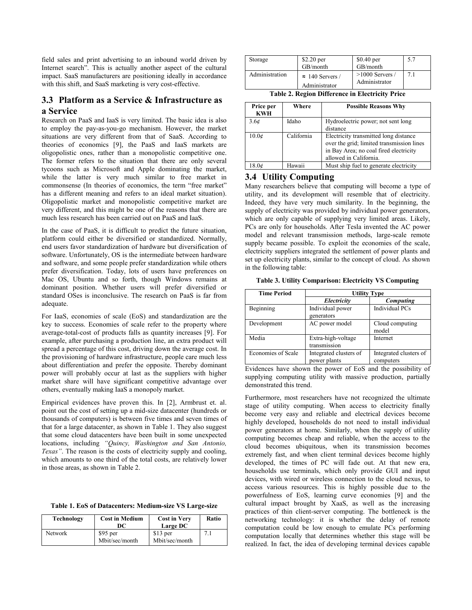field sales and print advertising to an inbound world driven by Internet search". This is actually another aspect of the cultural impact. SaaS manufacturers are positioning ideally in accordance with this shift, and SaaS marketing is very cost-effective.

# **3.3 Platform as a Service & Infrastructure as a Service**

Research on PaaS and IaaS is very limited. The basic idea is also to employ the pay-as-you-go mechanism. However, the market situations are very different from that of SaaS. According to theories of economics [9], the PaaS and IaaS markets are oligopolistic ones, rather than a monopolistic competitive one. The former refers to the situation that there are only several tycoons such as Microsoft and Apple dominating the market, while the latter is very much similar to free market in commonsense (In theories of economics, the term "free market" has a different meaning and refers to an ideal market situation). Oligopolistic market and monopolistic competitive market are very different, and this might be one of the reasons that there are much less research has been carried out on PaaS and IaaS.

In the case of PaaS, it is difficult to predict the future situation, platform could either be diversified or standardized. Normally, end users favor standardization of hardware but diversification of software. Unfortunately, OS is the intermediate between hardware and software, and some people prefer standardization while others prefer diversification. Today, lots of users have preferences on Mac OS, Ubuntu and so forth, though Windows remains at dominant position. Whether users will prefer diversified or standard OSes is inconclusive. The research on PaaS is far from adequate.

For IaaS, economies of scale (EoS) and standardization are the key to success. Economies of scale refer to the property where average-total-cost of products falls as quantity increases [9]. For example, after purchasing a production line, an extra product will spread a percentage of this cost, driving down the average cost. In the provisioning of hardware infrastructure, people care much less about differentiation and prefer the opposite. Thereby dominant power will probably occur at last as the suppliers with higher market share will have significant competitive advantage over others, eventually making IaaS a monopoly market.

Empirical evidences have proven this. In [2], Armbrust et. al. point out the cost of setting up a mid-size datacenter (hundreds or thousands of computers) is between five times and seven times of that for a large datacenter, as shown in Table 1. They also suggest that some cloud datacenters have been built in some unexpected locations, including *"Quincy, Washington and San Antonio, Texas"*. The reason is the costs of electricity supply and cooling, which amounts to one third of the total costs, are relatively lower in those areas, as shown in Table 2.

|  |  |  | Table 1. EoS of Datacenters: Medium-size VS Large-size |  |  |
|--|--|--|--------------------------------------------------------|--|--|
|--|--|--|--------------------------------------------------------|--|--|

| Technology     | <b>Cost in Medium</b><br>DC | <b>Cost in Very</b><br>Large DC | Ratio |
|----------------|-----------------------------|---------------------------------|-------|
| <b>Network</b> | $$95$ per<br>Mbit/sec/month | $$13$ per<br>Mbit/sec/month     |       |

| Storage        | $$2.20$ per                              | $$0.40$ per                        | 5.7 |
|----------------|------------------------------------------|------------------------------------|-----|
|                | GB/month                                 | GB/month                           |     |
| Administration | $\approx 140$ Servers /<br>Administrator | $>1000$ Servers /<br>Administrator |     |

**Table 2. Region Difference in Electricity Price** 

| Price per<br><b>KWH</b> | Where      | <b>Possible Reasons Why</b>                                                                                                                            |
|-------------------------|------------|--------------------------------------------------------------------------------------------------------------------------------------------------------|
| 3.6 <sub>c</sub>        | Idaho      | Hydroelectric power; not sent long<br>distance                                                                                                         |
| $10.0\mathcal{C}$       | California | Electricity transmitted long distance<br>over the grid; limited transmission lines<br>in Bay Area; no coal fired electricity<br>allowed in California. |
| 18.0¢                   | Hawaii     | Must ship fuel to generate electricity                                                                                                                 |

## **3.4 Utility Computing**

Many researchers believe that computing will become a type of utility, and its development will resemble that of electricity. Indeed, they have very much similarity. In the beginning, the supply of electricity was provided by individual power generators, which are only capable of supplying very limited areas. Likely, PCs are only for households. After Tesla invented the AC power model and relevant transmission methods, large-scale remote supply became possible. To exploit the economies of the scale, electricity suppliers integrated the settlement of power plants and set up electricity plants, similar to the concept of cloud. As shown in the following table:

**Table 3. Utility Comparison: Electricity VS Computing** 

| <b>Time Period</b> | <b>Utility Type</b>                    |                                     |
|--------------------|----------------------------------------|-------------------------------------|
|                    | Electricity                            | <b>Computing</b>                    |
| Beginning          | Individual power<br>generators         | Individual PCs                      |
| Development        | AC power model                         | Cloud computing<br>model            |
| Media              | Extra-high-voltage<br>transmission     | Internet                            |
| Economies of Scale | Integrated clusters of<br>power plants | Integrated clusters of<br>computers |

Evidences have shown the power of EoS and the possibility of supplying computing utility with massive production, partially demonstrated this trend.

Furthermore, most researchers have not recognized the ultimate stage of utility computing. When access to electricity finally become very easy and reliable and electrical devices become highly developed, households do not need to install individual power generators at home. Similarly, when the supply of utility computing becomes cheap and reliable, when the access to the cloud becomes ubiquitous, when its transmission becomes extremely fast, and when client terminal devices become highly developed, the times of PC will fade out. At that new era, households use terminals, which only provide GUI and input devices, with wired or wireless connection to the cloud nexus, to access various resources. This is highly possible due to the powerfulness of EoS, learning curve economies [9] and the cultural impact brought by XaaS, as well as the increasing practices of thin client-server computing. The bottleneck is the networking technology: it is whether the delay of remote computation could be low enough to emulate PCs performing computation locally that determines whether this stage will be realized. In fact, the idea of developing terminal devices capable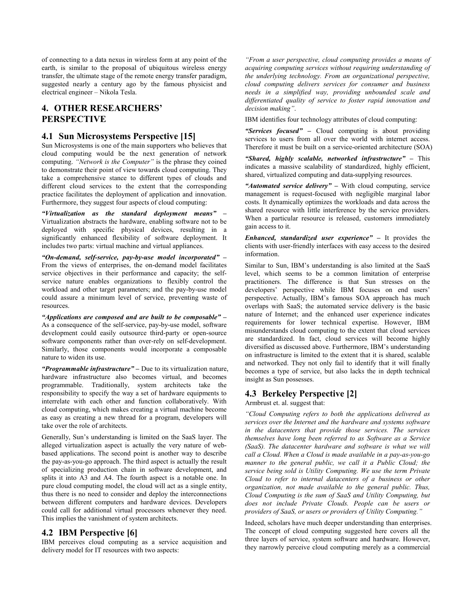of connecting to a data nexus in wireless form at any point of the earth, is similar to the proposal of ubiquitous wireless energy transfer, the ultimate stage of the remote energy transfer paradigm, suggested nearly a century ago by the famous physicist and electrical engineer – Nikola Tesla.

# **4. OTHER RESEARCHERS' PERSPECTIVE**

## **4.1 Sun Microsystems Perspective [15]**

Sun Microsystems is one of the main supporters who believes that cloud computing would be the next generation of network computing. *"Network is the Computer"* is the phrase they coined to demonstrate their point of view towards cloud computing. They take a comprehensive stance to different types of clouds and different cloud services to the extent that the corresponding practice facilitates the deployment of application and innovation. Furthermore, they suggest four aspects of cloud computing:

*"Virtualization as the standard deployment means" –* Virtualization abstracts the hardware, enabling software not to be deployed with specific physical devices, resulting in a significantly enhanced flexibility of software deployment. It includes two parts: virtual machine and virtual appliances.

*"On-demand, self-service, pay-by-use model incorporated" –*  From the views of enterprises, the on-demand model facilitates service objectives in their performance and capacity; the selfservice nature enables organizations to flexibly control the workload and other target parameters; and the pay-by-use model could assure a minimum level of service, preventing waste of resources.

*"Applications are composed and are built to be composable" –*  As a consequence of the self-service, pay-by-use model, software development could easily outsource third-party or open-source software components rather than over-rely on self-development. Similarly, those components would incorporate a composable nature to widen its use.

*"Programmable infrastructure" –* Due to its virtualization nature, hardware infrastructure also becomes virtual, and becomes programmable. Traditionally, system architects take the responsibility to specify the way a set of hardware equipments to interrelate with each other and function collaboratively. With cloud computing, which makes creating a virtual machine become as easy as creating a new thread for a program, developers will take over the role of architects.

Generally, Sun's understanding is limited on the SaaS layer. The alleged virtualization aspect is actually the very nature of webbased applications. The second point is another way to describe the pay-as-you-go approach. The third aspect is actually the result of specializing production chain in software development, and splits it into A3 and A4. The fourth aspect is a notable one. In pure cloud computing model, the cloud will act as a single entity, thus there is no need to consider and deploy the interconnections between different computers and hardware devices. Developers could call for additional virtual processors whenever they need. This implies the vanishment of system architects.

# **4.2 IBM Perspective [6]**

IBM perceives cloud computing as a service acquisition and delivery model for IT resources with two aspects:

*"From a user perspective, cloud computing provides a means of acquiring computing services without requiring understanding of the underlying technology. From an organizational perspective, cloud computing delivers services for consumer and business needs in a simplified way, providing unbounded scale and differentiated quality of service to foster rapid innovation and decision making"*.

IBM identifies four technology attributes of cloud computing:

*"Services focused" –* Cloud computing is about providing services to users from all over the world with internet access. Therefore it must be built on a service-oriented architecture (SOA)

*"Shared, highly scalable, networked infrastructure" –* This indicates a massive scalability of standardized, highly efficient, shared, virtualized computing and data-supplying resources.

*"Automated service delivery" –* With cloud computing, service management is request-focused with negligible marginal labor costs. It dynamically optimizes the workloads and data across the shared resource with little interference by the service providers. When a particular resource is released, customers immediately gain access to it.

*Enhanced, standardized user experience" –* It provides the clients with user-friendly interfaces with easy access to the desired information.

Similar to Sun, IBM's understanding is also limited at the SaaS level, which seems to be a common limitation of enterprise practitioners. The difference is that Sun stresses on the developers' perspective while IBM focuses on end users' perspective. Actually, IBM's famous SOA approach has much overlaps with SaaS; the automated service delivery is the basic nature of Internet; and the enhanced user experience indicates requirements for lower technical expertise. However, IBM misunderstands cloud computing to the extent that cloud services are standardized. In fact, cloud services will become highly diversified as discussed above. Furthermore, IBM's understanding on infrastructure is limited to the extent that it is shared, scalable and networked. They not only fail to identify that it will finally becomes a type of service, but also lacks the in depth technical insight as Sun possesses.

#### **4.3 Berkeley Perspective [2]**

Armbrust et. al. suggest that:

*"Cloud Computing refers to both the applications delivered as services over the Internet and the hardware and systems software in the datacenters that provide those services. The services themselves have long been referred to as Software as a Service (SaaS). The datacenter hardware and software is what we will call a Cloud. When a Cloud is made available in a pay-as-you-go manner to the general public, we call it a Public Cloud; the service being sold is Utility Computing. We use the term Private Cloud to refer to internal datacenters of a business or other organization, not made available to the general public. Thus, Cloud Computing is the sum of SaaS and Utility Computing, but does not include Private Clouds. People can be users or providers of SaaS, or users or providers of Utility Computing."* 

Indeed, scholars have much deeper understanding than enterprises. The concept of cloud computing suggested here covers all the three layers of service, system software and hardware. However, they narrowly perceive cloud computing merely as a commercial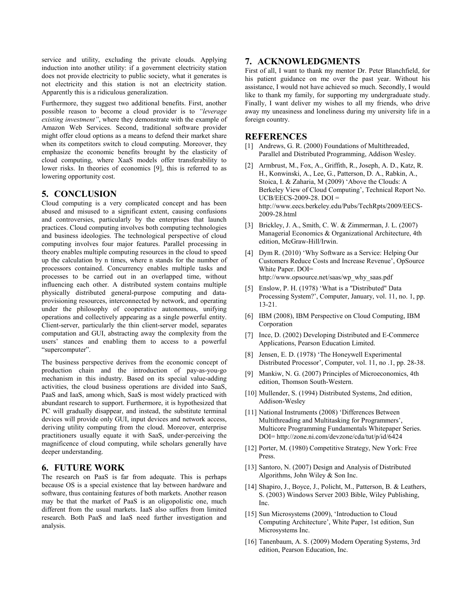service and utility, excluding the private clouds. Applying induction into another utility: if a government electricity station does not provide electricity to public society, what it generates is not electricity and this station is not an electricity station. Apparently this is a ridiculous generalization.

Furthermore, they suggest two additional benefits. First, another possible reason to become a cloud provider is to *"leverage existing investment"*, where they demonstrate with the example of Amazon Web Services. Second, traditional software provider might offer cloud options as a means to defend their market share when its competitors switch to cloud computing. Moreover, they emphasize the economic benefits brought by the elasticity of cloud computing, where XaaS models offer transferability to lower risks. In theories of economics [9], this is referred to as lowering opportunity cost.

#### **5. CONCLUSION**

Cloud computing is a very complicated concept and has been abused and misused to a significant extent, causing confusions and controversies, particularly by the enterprises that launch practices. Cloud computing involves both computing technologies and business ideologies. The technological perspective of cloud computing involves four major features. Parallel processing in theory enables multiple computing resources in the cloud to speed up the calculation by n times, where n stands for the number of processors contained. Concurrency enables multiple tasks and processes to be carried out in an overlapped time, without influencing each other. A distributed system contains multiple physically distributed general-purpose computing and dataprovisioning resources, interconnected by network, and operating under the philosophy of cooperative autonomous, unifying operations and collectively appearing as a single powerful entity. Client-server, particularly the thin client-server model, separates computation and GUI, abstracting away the complexity from the users' stances and enabling them to access to a powerful "supercomputer".

The business perspective derives from the economic concept of production chain and the introduction of pay-as-you-go mechanism in this industry. Based on its special value-adding activities, the cloud business operations are divided into SaaS, PaaS and IaaS, among which, SaaS is most widely practiced with abundant research to support. Furthermore, it is hypothesized that PC will gradually disappear, and instead, the substitute terminal devices will provide only GUI, input devices and network access, deriving utility computing from the cloud. Moreover, enterprise practitioners usually equate it with SaaS, under-perceiving the magnificence of cloud computing, while scholars generally have deeper understanding.

#### **6. FUTURE WORK**

The research on PaaS is far from adequate. This is perhaps because OS is a special existence that lay between hardware and software, thus containing features of both markets. Another reason may be that the market of PaaS is an oligopolistic one, much different from the usual markets. IaaS also suffers from limited research. Both PaaS and IaaS need further investigation and analysis.

#### **7. ACKNOWLEDGMENTS**

First of all, I want to thank my mentor Dr. Peter Blanchfield, for his patient guidance on me over the past year. Without his assistance, I would not have achieved so much. Secondly, I would like to thank my family, for supporting my undergraduate study. Finally, I want deliver my wishes to all my friends, who drive away my uneasiness and loneliness during my university life in a foreign country.

# **REFERENCES**

- [1] Andrews, G. R. (2000) Foundations of Multithreaded, Parallel and Distributed Programming, Addison Wesley.
- [2] Armbrust, M., Fox, A., Griffith, R., Joseph, A. D., Katz, R. H., Konwinski, A., Lee, G., Patterson, D. A., Rabkin, A., Stoica, I. & Zaharia, M (2009) 'Above the Clouds: A Berkeley View of Cloud Computing', Technical Report No. UCB/EECS-2009-28. DOI = [http://www.eecs.berkeley.edu/Pubs/TechRpts/2009/EECS](http://www.eecs.berkeley.edu/Pubs/TechRpts/2009/EECS-2009-28.html)-[2009-28.html](http://www.eecs.berkeley.edu/Pubs/TechRpts/2009/EECS-2009-28.html)
- [3] Brickley, J. A., Smith, C. W. & Zimmerman, J. L. (2007) Managerial Economics & Organizational Architecture, 4th edition, McGraw-Hill/Irwin.
- [4] Dym R. (2010) 'Why Software as a Service: Helping Our Customers Reduce Costs and Increase Revenue', OpSource White Paper. DOI= [http://www.opsource.net/saas/wp\\_why\\_saas.pdf](http://www.opsource.net/saas/wp_why_saas.pdf)
- [5] Enslow, P. H. (1978) 'What is a "Distributed" Data Processing System?', Computer, January, vol. 11, no. 1, pp. 13-21.
- [6] IBM (2008), IBM Perspective on Cloud Computing, IBM Corporation
- [7] Ince, D. (2002) Developing Distributed and E-Commerce Applications, Pearson Education Limited.
- [8] Jensen, E. D. (1978) 'The Honeywell Experimental Distributed Processor', Computer, vol. 11, no .1, pp. 28-38.
- [9] Mankiw, N. G. (2007) Principles of Microeconomics, 4th edition, Thomson South-Western.
- [10] Mullender, S. (1994) Distributed Systems, 2nd edition, Addison-Wesley
- [11] National Instruments (2008) 'Differences Between Multithreading and Multitasking for Programmers', Multicore Programming Fundamentals Whitepaper Series. DOI=<http://zone.ni.com/devzone/cda/tut/p/id/6424>
- [12] Porter, M. (1980) Competitive Strategy, New York: Free Press.
- [13] Santoro, N. (2007) Design and Analysis of Distributed Algorithms, John Wiley & Son Inc.
- [14] Shapiro, J., Boyce, J., Policht, M., Patterson, B. & Leathers, S. (2003) Windows Server 2003 Bible, Wiley Publishing, Inc.
- [15] Sun Microsystems (2009), 'Introduction to Cloud Computing Architecture', White Paper, 1st edition, Sun Microsystems Inc.
- [16] Tanenbaum, A. S. (2009) Modern Operating Systems, 3rd edition, Pearson Education, Inc.